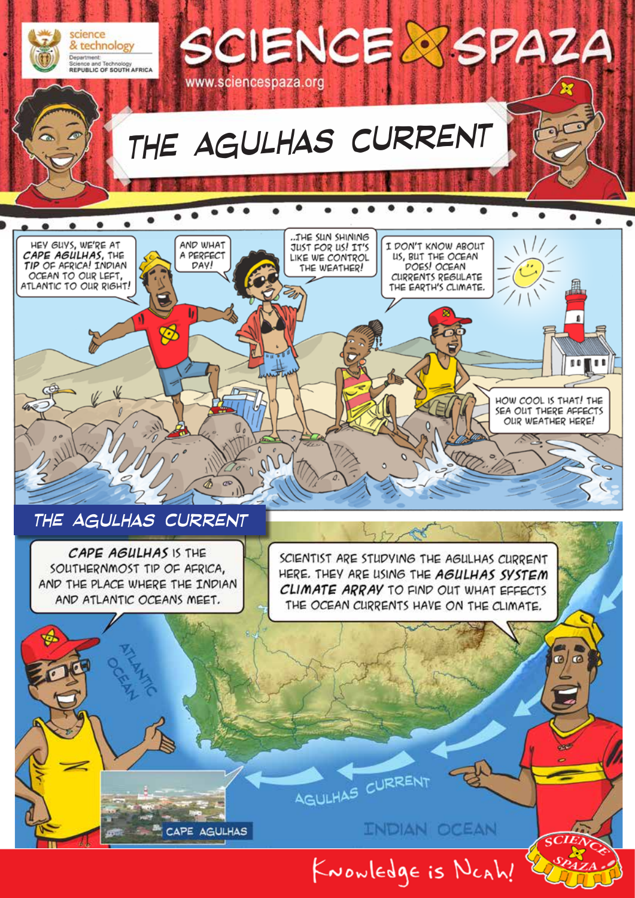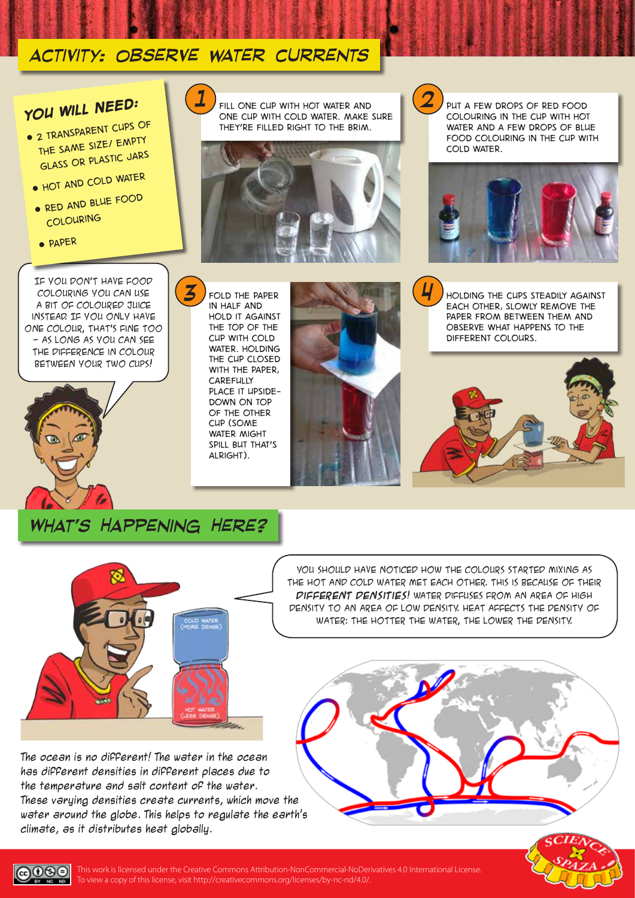## *activity: Observe water currents*

# *You will need:*

- *2 transparent cups of the same size/ empty glass or plastic jars*
	- *Hot and cold water*
	- *Red and blue food colouring*
	- *Paper*

*3* If you don't have food colouring you can use a bit of coloured juice instead. If you only have one colour, that's fine too - as long as you can see the difference in colour between your two cups!



*in half and hold it against the top of the cup with cold water. Holding the cup closed with the paper, carefully place it upsidedown on top of the other cup (some water might spill but that's alright).*

*Fold the paper* 



 $1$   $FIL$  one cup with hot water and  $2$ *one cup with cold water. Make sure they're filled right to the brim.*

*Put a few drops of red food colouring in the cup with hot water and a few drops of blue food colouring in the cup with cold water.*



*Holding the cups steadily against each other, slowly remove the paper from between them and observe what happens to the different colours.*





YOU SHOULD HAVE NOTICED HOW THE COLOURS STARTED MIXING AS the hot and cold water met each other. This is because of their **different densities**! Water diffuses from an area of high density to an area of low density. Heat affects the density of water: the hotter the water, the lower the density.

*4*

The ocean is no different! The water in the ocean has different densities in different places due to the temperature and salt content of the water. These varying densities create currents, which move the water around the globe. This helps to regulate the earth's climate, as it distributes heat globally.





 $0$ லெ This work is licensed under the Creative Commons Attribution-NonCommercial-NoDerivatives 4.0 International License. To view a copy of this license, visit http://creativecommons.org/licenses/by-nc-nd/4.0/. **BOY**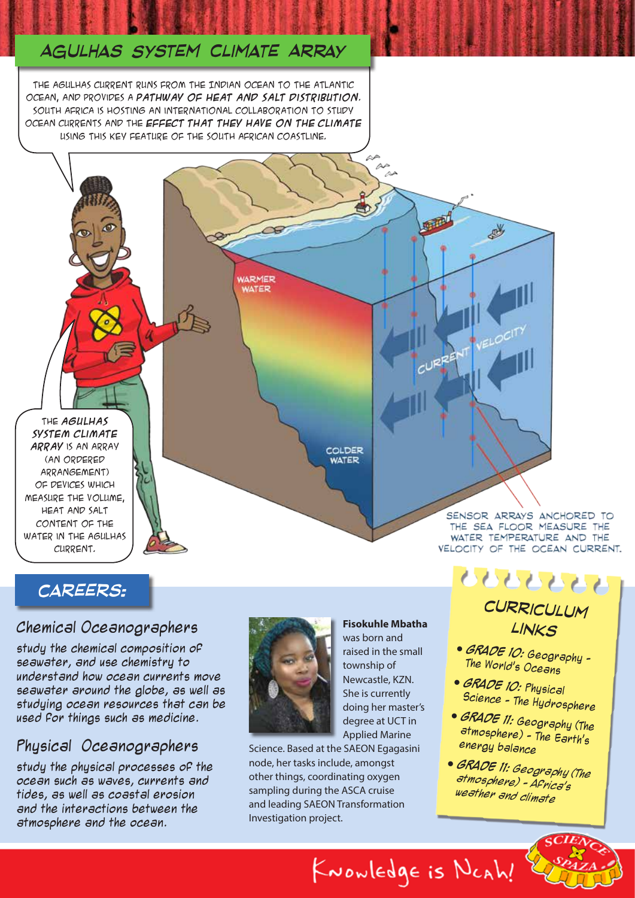## *Agulhas System Climate Array*

The Agulhas current runs from the Indian Ocean to the Atlantic Ocean, and provides a **pathway of heat and salt distribution**. South Africa is hosting an international collaboration to study ocean currents and the **effect that they have on the climate** using this key feature of the South African coastline.

 $\rightarrow$ 

**WARMER WATER** 

The **Agulhas System Climate Array** is an array (an ordered arrangement) of devices which measure the volume, heat and salt content of the water in the Agulhas Current.

COLDER **WATER** 

> SENSOR ARRAYS ANCHORED TO THE SEA FLOOR MEASURE THE WATER TEMPERATURE AND THE VELOCITY OF THE OCEAN CURRENT.

## *careers:*

### Chemical Oceanographers

study the chemical composition of seawater, and use chemistry to understand how ocean currents move seawater around the globe, as well as studying ocean resources that can be used for things such as medicine.

### Physical Oceanographers

study the physical processes of the ocean such as waves, currents and tides, as well as coastal erosion and the interactions between the atmosphere and the ocean.



**Fisokuhle Mbatha** was born and raised in the small township of Newcastle, KZN. She is currently doing her master's degree at UCT in Applied Marine

KNOWLEDge is NCAh!

中国

感

CURRENT VELOCITY

Science. Based at the SAEON Egagasini node, her tasks include, amongst other things, coordinating oxygen sampling during the ASCA cruise and leading SAEON Transformation Investigation project.

## <u> UUUUUU</u> *curriculum*

#### *links*

- **GRADE 10:** Geography The World's Oceans
- **GRADE 10:** Physical Science - The Hydrosphere
- **GRADE 11:** Geography (The atmosphere) - The Earth's energy balance
- **GRADE 11:** *Geography (The atmosphere) - Africa's weather and climate*